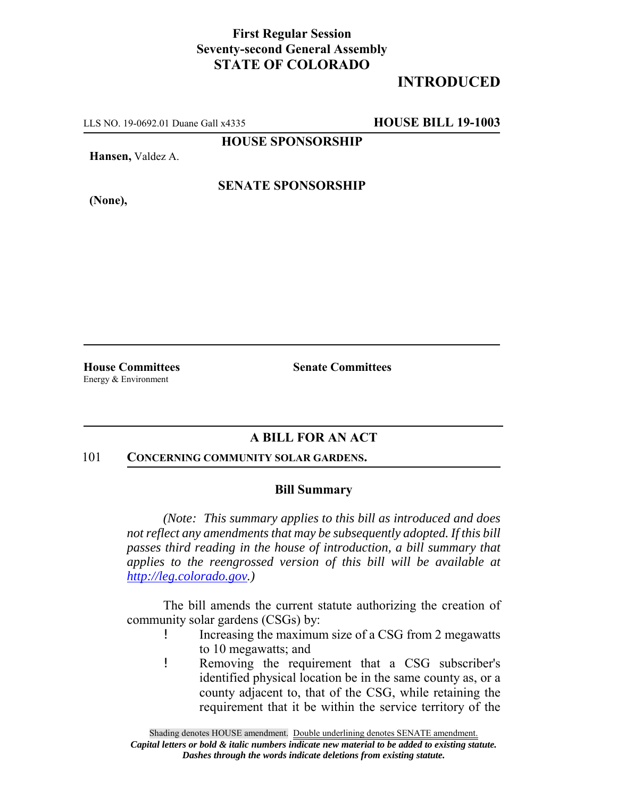## **First Regular Session Seventy-second General Assembly STATE OF COLORADO**

# **INTRODUCED**

LLS NO. 19-0692.01 Duane Gall x4335 **HOUSE BILL 19-1003**

**HOUSE SPONSORSHIP**

**Hansen,** Valdez A.

**(None),**

**SENATE SPONSORSHIP**

Energy & Environment

**House Committees Senate Committees** 

### **A BILL FOR AN ACT**

#### 101 **CONCERNING COMMUNITY SOLAR GARDENS.**

#### **Bill Summary**

*(Note: This summary applies to this bill as introduced and does not reflect any amendments that may be subsequently adopted. If this bill passes third reading in the house of introduction, a bill summary that applies to the reengrossed version of this bill will be available at http://leg.colorado.gov.)*

The bill amends the current statute authorizing the creation of community solar gardens (CSGs) by:

- ! Increasing the maximum size of a CSG from 2 megawatts to 10 megawatts; and
- ! Removing the requirement that a CSG subscriber's identified physical location be in the same county as, or a county adjacent to, that of the CSG, while retaining the requirement that it be within the service territory of the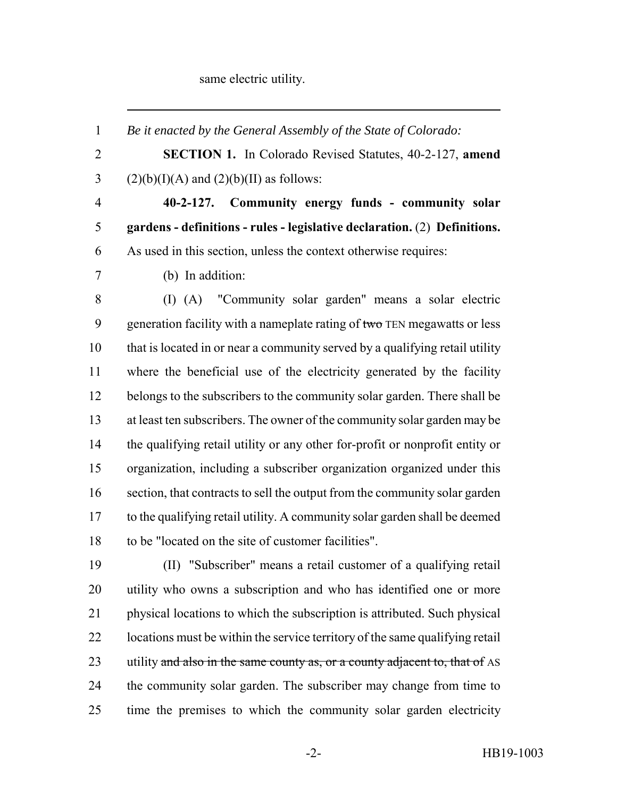#### same electric utility.

 *Be it enacted by the General Assembly of the State of Colorado:* **SECTION 1.** In Colorado Revised Statutes, 40-2-127, **amend** 3 (2)(b)(I)(A) and (2)(b)(II) as follows: **40-2-127. Community energy funds - community solar gardens - definitions - rules - legislative declaration.** (2) **Definitions.** As used in this section, unless the context otherwise requires: (b) In addition: (I) (A) "Community solar garden" means a solar electric 9 generation facility with a nameplate rating of  $t_{\text{w}}$  TEN megawatts or less that is located in or near a community served by a qualifying retail utility where the beneficial use of the electricity generated by the facility belongs to the subscribers to the community solar garden. There shall be at least ten subscribers. The owner of the community solar garden may be the qualifying retail utility or any other for-profit or nonprofit entity or organization, including a subscriber organization organized under this section, that contracts to sell the output from the community solar garden to the qualifying retail utility. A community solar garden shall be deemed to be "located on the site of customer facilities". (II) "Subscriber" means a retail customer of a qualifying retail utility who owns a subscription and who has identified one or more physical locations to which the subscription is attributed. Such physical locations must be within the service territory of the same qualifying retail 23 utility and also in the same county as, or a county adjacent to, that of AS the community solar garden. The subscriber may change from time to

time the premises to which the community solar garden electricity